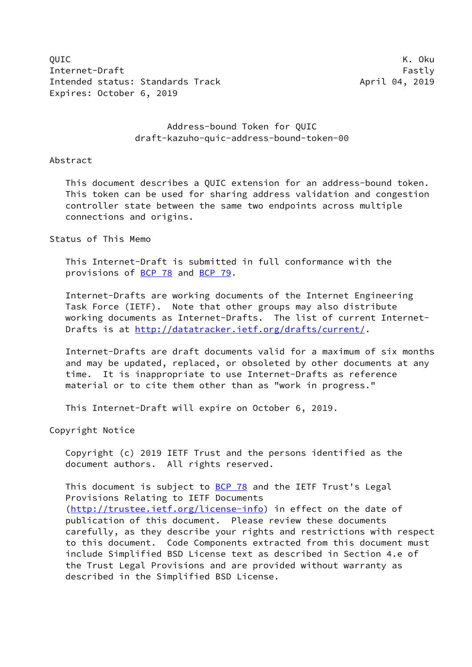QUIC K. Oku Internet-Draft Fastly Fastly Intended status: Standards Track April 04, 2019 Expires: October 6, 2019

# Address-bound Token for QUIC draft-kazuho-quic-address-bound-token-00

#### Abstract

 This document describes a QUIC extension for an address-bound token. This token can be used for sharing address validation and congestion controller state between the same two endpoints across multiple connections and origins.

# Status of This Memo

 This Internet-Draft is submitted in full conformance with the provisions of [BCP 78](https://datatracker.ietf.org/doc/pdf/bcp78) and [BCP 79](https://datatracker.ietf.org/doc/pdf/bcp79).

 Internet-Drafts are working documents of the Internet Engineering Task Force (IETF). Note that other groups may also distribute working documents as Internet-Drafts. The list of current Internet- Drafts is at<http://datatracker.ietf.org/drafts/current/>.

 Internet-Drafts are draft documents valid for a maximum of six months and may be updated, replaced, or obsoleted by other documents at any time. It is inappropriate to use Internet-Drafts as reference material or to cite them other than as "work in progress."

This Internet-Draft will expire on October 6, 2019.

Copyright Notice

 Copyright (c) 2019 IETF Trust and the persons identified as the document authors. All rights reserved.

This document is subject to **[BCP 78](https://datatracker.ietf.org/doc/pdf/bcp78)** and the IETF Trust's Legal Provisions Relating to IETF Documents [\(http://trustee.ietf.org/license-info](http://trustee.ietf.org/license-info)) in effect on the date of publication of this document. Please review these documents carefully, as they describe your rights and restrictions with respect to this document. Code Components extracted from this document must include Simplified BSD License text as described in Section 4.e of the Trust Legal Provisions and are provided without warranty as described in the Simplified BSD License.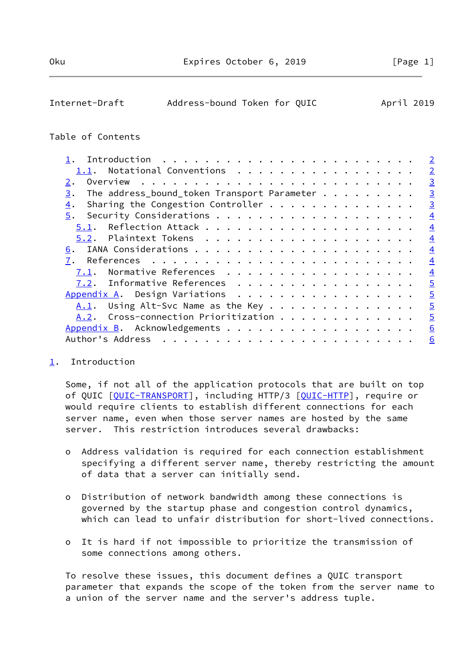<span id="page-1-1"></span>

| Internet-Draft | Address-bound Token for QUIC |  | April 2019 |  |
|----------------|------------------------------|--|------------|--|

# Table of Contents

|                                                   | $\overline{2}$ |
|---------------------------------------------------|----------------|
| 1.1. Notational Conventions                       | $\overline{2}$ |
| 2.                                                | $\overline{3}$ |
| The address_bound_token Transport Parameter<br>3. | $\overline{3}$ |
| Sharing the Congestion Controller<br>4.           | $\overline{3}$ |
| 5.                                                | $\overline{4}$ |
|                                                   | $\overline{4}$ |
|                                                   | $\overline{4}$ |
| 6.                                                | $\overline{4}$ |
| 7.                                                | $\overline{4}$ |
| Normative References<br>7.1.                      | $\overline{4}$ |
| 7.2. Informative References                       | $\overline{5}$ |
| Appendix A. Design Variations                     | $\overline{5}$ |
| Using Alt-Svc Name as the Key<br>A.1.             | $\overline{5}$ |
| A.2. Cross-connection Prioritization              | $\overline{5}$ |
| Appendix B. Acknowledgements                      | 6              |
| Author's Address                                  | 6              |
|                                                   |                |

## <span id="page-1-0"></span>[1](#page-1-0). Introduction

 Some, if not all of the application protocols that are built on top of QUIC [\[QUIC-TRANSPORT](#page-4-7)], including HTTP/3 [[QUIC-HTTP\]](#page-4-8), require or would require clients to establish different connections for each server name, even when those server names are hosted by the same server. This restriction introduces several drawbacks:

- o Address validation is required for each connection establishment specifying a different server name, thereby restricting the amount of data that a server can initially send.
- o Distribution of network bandwidth among these connections is governed by the startup phase and congestion control dynamics, which can lead to unfair distribution for short-lived connections.
- o It is hard if not impossible to prioritize the transmission of some connections among others.

 To resolve these issues, this document defines a QUIC transport parameter that expands the scope of the token from the server name to a union of the server name and the server's address tuple.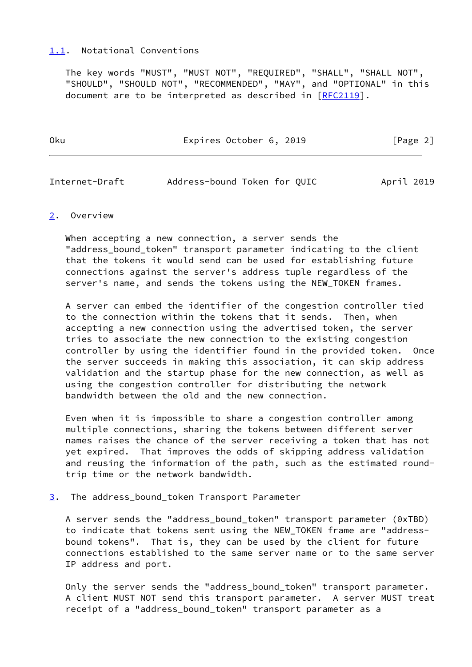## <span id="page-2-0"></span>[1.1](#page-2-0). Notational Conventions

 The key words "MUST", "MUST NOT", "REQUIRED", "SHALL", "SHALL NOT", "SHOULD", "SHOULD NOT", "RECOMMENDED", "MAY", and "OPTIONAL" in this document are to be interpreted as described in [\[RFC2119](https://datatracker.ietf.org/doc/pdf/rfc2119)].

| 0ku | Expires October 6, 2019 | $\lceil \text{Page } 2 \rceil$ |
|-----|-------------------------|--------------------------------|
|     |                         |                                |

<span id="page-2-2"></span>

| Internet-Draft | Address-bound Token for QUIC |  |  | April 2019 |
|----------------|------------------------------|--|--|------------|
|----------------|------------------------------|--|--|------------|

#### <span id="page-2-1"></span>[2](#page-2-1). Overview

 When accepting a new connection, a server sends the "address\_bound\_token" transport parameter indicating to the client that the tokens it would send can be used for establishing future connections against the server's address tuple regardless of the server's name, and sends the tokens using the NEW\_TOKEN frames.

 A server can embed the identifier of the congestion controller tied to the connection within the tokens that it sends. Then, when accepting a new connection using the advertised token, the server tries to associate the new connection to the existing congestion controller by using the identifier found in the provided token. Once the server succeeds in making this association, it can skip address validation and the startup phase for the new connection, as well as using the congestion controller for distributing the network bandwidth between the old and the new connection.

 Even when it is impossible to share a congestion controller among multiple connections, sharing the tokens between different server names raises the chance of the server receiving a token that has not yet expired. That improves the odds of skipping address validation and reusing the information of the path, such as the estimated round trip time or the network bandwidth.

<span id="page-2-3"></span>[3](#page-2-3). The address\_bound\_token Transport Parameter

 A server sends the "address\_bound\_token" transport parameter (0xTBD) to indicate that tokens sent using the NEW\_TOKEN frame are "address bound tokens". That is, they can be used by the client for future connections established to the same server name or to the same server IP address and port.

 Only the server sends the "address\_bound\_token" transport parameter. A client MUST NOT send this transport parameter. A server MUST treat receipt of a "address\_bound\_token" transport parameter as a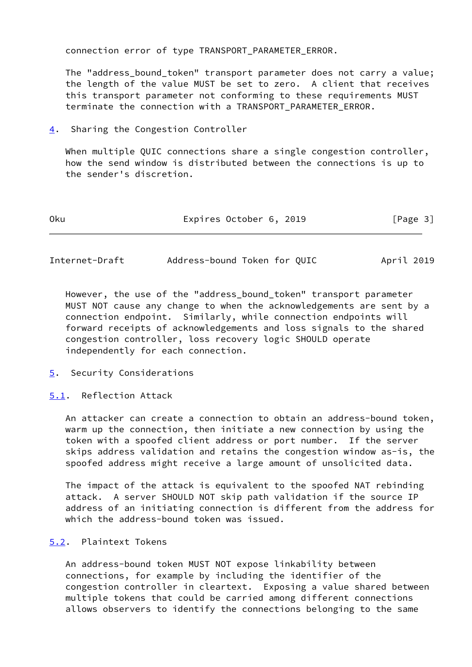connection error of type TRANSPORT\_PARAMETER\_ERROR.

The "address bound token" transport parameter does not carry a value; the length of the value MUST be set to zero. A client that receives this transport parameter not conforming to these requirements MUST terminate the connection with a TRANSPORT PARAMETER ERROR.

<span id="page-3-0"></span>[4](#page-3-0). Sharing the Congestion Controller

 When multiple QUIC connections share a single congestion controller, how the send window is distributed between the connections is up to the sender's discretion.

| 0 <sub>ku</sub> | Expires October 6, 2019 | [Page 3] |
|-----------------|-------------------------|----------|
|                 |                         |          |

<span id="page-3-2"></span>Internet-Draft Address-bound Token for QUIC April 2019

 However, the use of the "address\_bound\_token" transport parameter MUST NOT cause any change to when the acknowledgements are sent by a connection endpoint. Similarly, while connection endpoints will forward receipts of acknowledgements and loss signals to the shared congestion controller, loss recovery logic SHOULD operate independently for each connection.

- <span id="page-3-1"></span>[5](#page-3-1). Security Considerations
- <span id="page-3-3"></span>[5.1](#page-3-3). Reflection Attack

 An attacker can create a connection to obtain an address-bound token, warm up the connection, then initiate a new connection by using the token with a spoofed client address or port number. If the server skips address validation and retains the congestion window as-is, the spoofed address might receive a large amount of unsolicited data.

 The impact of the attack is equivalent to the spoofed NAT rebinding attack. A server SHOULD NOT skip path validation if the source IP address of an initiating connection is different from the address for which the address-bound token was issued.

## <span id="page-3-4"></span>[5.2](#page-3-4). Plaintext Tokens

 An address-bound token MUST NOT expose linkability between connections, for example by including the identifier of the congestion controller in cleartext. Exposing a value shared between multiple tokens that could be carried among different connections allows observers to identify the connections belonging to the same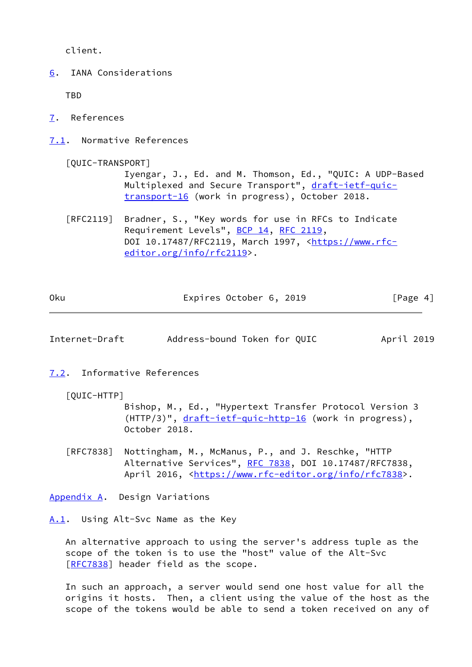client.

<span id="page-4-0"></span>[6](#page-4-0). IANA Considerations

TBD

- <span id="page-4-1"></span>[7](#page-4-1). References
- <span id="page-4-2"></span>[7.1](#page-4-2). Normative References

<span id="page-4-7"></span>[QUIC-TRANSPORT]

 Iyengar, J., Ed. and M. Thomson, Ed., "QUIC: A UDP-Based Multiplexed and Secure Transport", [draft-ietf-quic](https://datatracker.ietf.org/doc/pdf/draft-ietf-quic-transport-16) [transport-16](https://datatracker.ietf.org/doc/pdf/draft-ietf-quic-transport-16) (work in progress), October 2018.

 [RFC2119] Bradner, S., "Key words for use in RFCs to Indicate Requirement Levels", [BCP 14](https://datatracker.ietf.org/doc/pdf/bcp14), [RFC 2119](https://datatracker.ietf.org/doc/pdf/rfc2119), DOI 10.17487/RFC2119, March 1997, [<https://www.rfc](https://www.rfc-editor.org/info/rfc2119) [editor.org/info/rfc2119](https://www.rfc-editor.org/info/rfc2119)>.

| 0 <sub>ku</sub> | Expires October 6, 2019 | [Page 4] |
|-----------------|-------------------------|----------|
|                 |                         |          |

<span id="page-4-4"></span>Internet-Draft Address-bound Token for QUIC April 2019

- <span id="page-4-8"></span><span id="page-4-3"></span>[7.2](#page-4-3). Informative References
	- [QUIC-HTTP]

 Bishop, M., Ed., "Hypertext Transfer Protocol Version 3 (HTTP/3)", [draft-ietf-quic-http-16](https://datatracker.ietf.org/doc/pdf/draft-ietf-quic-http-16) (work in progress), October 2018.

 [RFC7838] Nottingham, M., McManus, P., and J. Reschke, "HTTP Alternative Services", [RFC 7838](https://datatracker.ietf.org/doc/pdf/rfc7838), DOI 10.17487/RFC7838, April 2016, [<https://www.rfc-editor.org/info/rfc7838](https://www.rfc-editor.org/info/rfc7838)>.

<span id="page-4-5"></span>[Appendix A.](#page-4-5) Design Variations

<span id="page-4-6"></span>[A.1](#page-4-6). Using Alt-Svc Name as the Key

 An alternative approach to using the server's address tuple as the scope of the token is to use the "host" value of the Alt-Svc [\[RFC7838](https://datatracker.ietf.org/doc/pdf/rfc7838)] header field as the scope.

 In such an approach, a server would send one host value for all the origins it hosts. Then, a client using the value of the host as the scope of the tokens would be able to send a token received on any of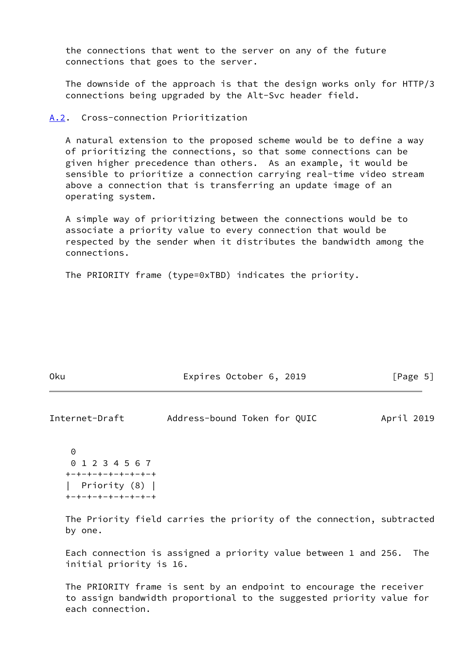the connections that went to the server on any of the future connections that goes to the server.

 The downside of the approach is that the design works only for HTTP/3 connections being upgraded by the Alt-Svc header field.

#### <span id="page-5-0"></span>[A.2](#page-5-0). Cross-connection Prioritization

 A natural extension to the proposed scheme would be to define a way of prioritizing the connections, so that some connections can be given higher precedence than others. As an example, it would be sensible to prioritize a connection carrying real-time video stream above a connection that is transferring an update image of an operating system.

 A simple way of prioritizing between the connections would be to associate a priority value to every connection that would be respected by the sender when it distributes the bandwidth among the connections.

The PRIORITY frame (type=0xTBD) indicates the priority.

| 0ku | Expires October 6, 2019 | [Page 5] |
|-----|-------------------------|----------|
|-----|-------------------------|----------|

<span id="page-5-1"></span>

| Internet-Draft | Address-bound Token for QUIC |  | April 2019 |  |
|----------------|------------------------------|--|------------|--|
|                |                              |  |            |  |

```
\Omega 0 1 2 3 4 5 6 7
+-+-+-+-+-+-+-+-+
  | Priority (8) |
+-+-+-+-+-+-+-+-+
```
 The Priority field carries the priority of the connection, subtracted by one.

 Each connection is assigned a priority value between 1 and 256. The initial priority is 16.

 The PRIORITY frame is sent by an endpoint to encourage the receiver to assign bandwidth proportional to the suggested priority value for each connection.